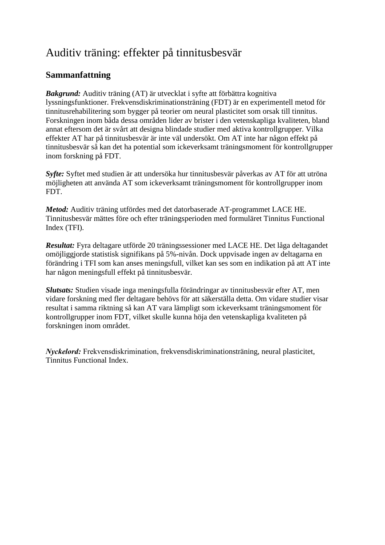## Auditiv träning: effekter på tinnitusbesvär

## **Sammanfattning**

*Bakgrund:* Auditiv träning (AT) är utvecklat i syfte att förbättra kognitiva lyssningsfunktioner. Frekvensdiskriminationsträning (FDT) är en experimentell metod för tinnitusrehabilitering som bygger på teorier om neural plasticitet som orsak till tinnitus. Forskningen inom båda dessa områden lider av brister i den vetenskapliga kvaliteten, bland annat eftersom det är svårt att designa blindade studier med aktiva kontrollgrupper. Vilka effekter AT har på tinnitusbesvär är inte väl undersökt. Om AT inte har någon effekt på tinnitusbesvär så kan det ha potential som ickeverksamt träningsmoment för kontrollgrupper inom forskning på FDT.

*Syfte:* Syftet med studien är att undersöka hur tinnitusbesvär påverkas av AT för att utröna möjligheten att använda AT som ickeverksamt träningsmoment för kontrollgrupper inom FDT.

*Metod:* Auditiv träning utfördes med det datorbaserade AT-programmet LACE HE. Tinnitusbesvär mättes före och efter träningsperioden med formuläret Tinnitus Functional Index (TFI).

*Resultat:* Fyra deltagare utförde 20 träningssessioner med LACE HE. Det låga deltagandet omöjliggjorde statistisk signifikans på 5%-nivån. Dock uppvisade ingen av deltagarna en förändring i TFI som kan anses meningsfull, vilket kan ses som en indikation på att AT inte har någon meningsfull effekt på tinnitusbesvär.

*Slutsats:* Studien visade inga meningsfulla förändringar av tinnitusbesvär efter AT, men vidare forskning med fler deltagare behövs för att säkerställa detta. Om vidare studier visar resultat i samma riktning så kan AT vara lämpligt som ickeverksamt träningsmoment för kontrollgrupper inom FDT, vilket skulle kunna höja den vetenskapliga kvaliteten på forskningen inom området.

*Nyckelord:* Frekvensdiskrimination, frekvensdiskriminationsträning, neural plasticitet, Tinnitus Functional Index.